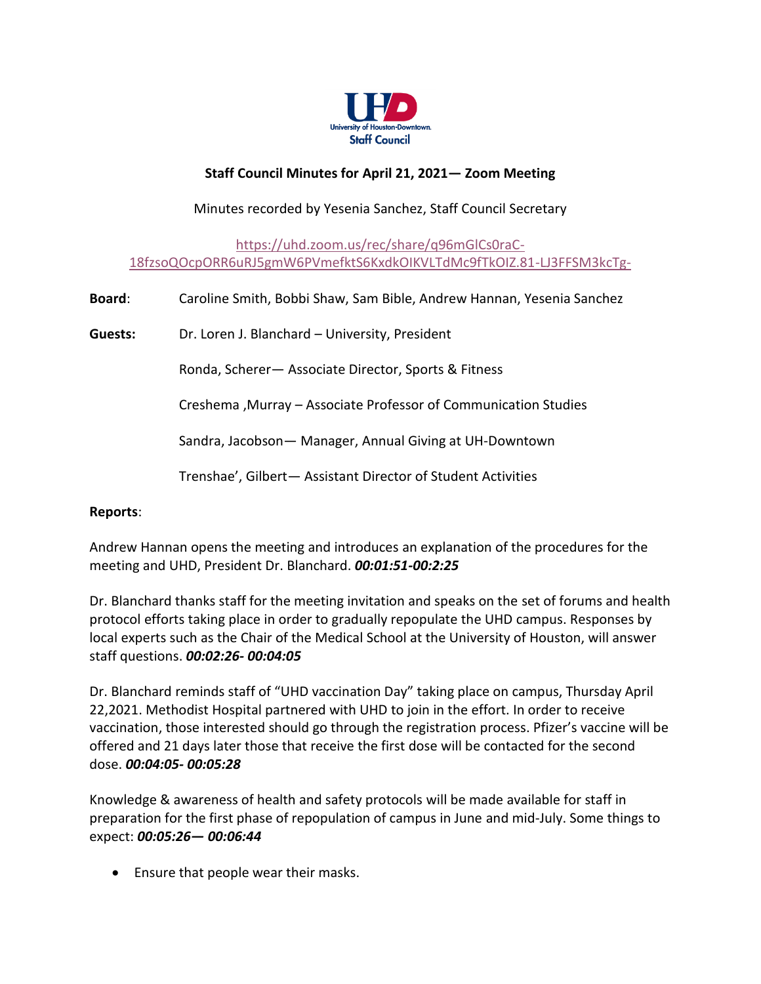

# **Staff Council Minutes for April 21, 2021— Zoom Meeting**

# Minutes recorded by Yesenia Sanchez, Staff Council Secretary

[https://uhd.zoom.us/rec/share/q96mGlCs0raC-](https://urldefense.com/v3/__https:/uhd.zoom.us/rec/share/q96mGlCs0raC-18fzsoQOcpORR6uRJ5gmW6PVmefktS6KxdkOIKVLTdMc9fTkOIZ.81-LJ3FFSM3kcTg-__;!!F8lEXw!o5llhsuYvwVIc-VOlKzVo75HGSSdlpCDiMqNtaUZJfl7fDOtfi2sf9QrRADzoQ$)[18fzsoQOcpORR6uRJ5gmW6PVmefktS6KxdkOIKVLTdMc9fTkOIZ.81-LJ3FFSM3kcTg-](https://urldefense.com/v3/__https:/uhd.zoom.us/rec/share/q96mGlCs0raC-18fzsoQOcpORR6uRJ5gmW6PVmefktS6KxdkOIKVLTdMc9fTkOIZ.81-LJ3FFSM3kcTg-__;!!F8lEXw!o5llhsuYvwVIc-VOlKzVo75HGSSdlpCDiMqNtaUZJfl7fDOtfi2sf9QrRADzoQ$)

**Board**: Caroline Smith, Bobbi Shaw, Sam Bible, Andrew Hannan, Yesenia Sanchez **Guests:** Dr. Loren J. Blanchard – University, President Ronda, Scherer— Associate Director, Sports & Fitness Creshema ,Murray – Associate Professor of Communication Studies Sandra, Jacobson— Manager, Annual Giving at UH-Downtown Trenshae', Gilbert— Assistant Director of Student Activities

#### **Reports**:

Andrew Hannan opens the meeting and introduces an explanation of the procedures for the meeting and UHD, President Dr. Blanchard. *00:01:51-00:2:25*

Dr. Blanchard thanks staff for the meeting invitation and speaks on the set of forums and health protocol efforts taking place in order to gradually repopulate the UHD campus. Responses by local experts such as the Chair of the Medical School at the University of Houston, will answer staff questions. *00:02:26- 00:04:05*

Dr. Blanchard reminds staff of "UHD vaccination Day" taking place on campus, Thursday April 22,2021. Methodist Hospital partnered with UHD to join in the effort. In order to receive vaccination, those interested should go through the registration process. Pfizer's vaccine will be offered and 21 days later those that receive the first dose will be contacted for the second dose. *00:04:05- 00:05:28*

Knowledge & awareness of health and safety protocols will be made available for staff in preparation for the first phase of repopulation of campus in June and mid-July. Some things to expect: *00:05:26— 00:06:44*

• Ensure that people wear their masks.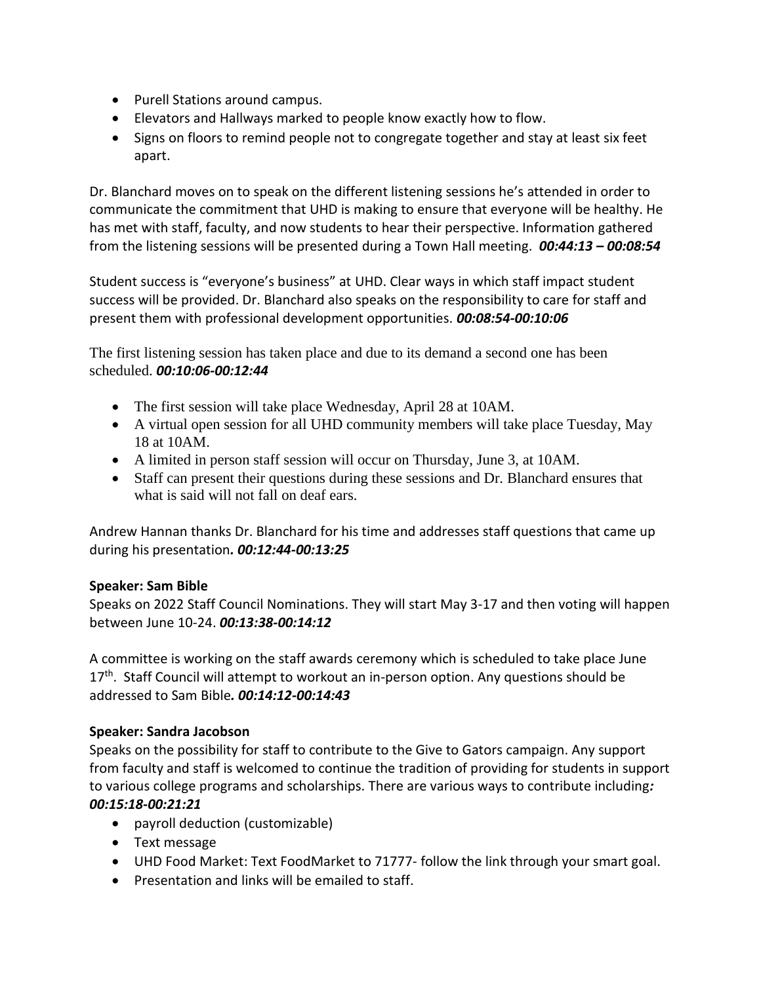- Purell Stations around campus.
- Elevators and Hallways marked to people know exactly how to flow.
- Signs on floors to remind people not to congregate together and stay at least six feet apart.

Dr. Blanchard moves on to speak on the different listening sessions he's attended in order to communicate the commitment that UHD is making to ensure that everyone will be healthy. He has met with staff, faculty, and now students to hear their perspective. Information gathered from the listening sessions will be presented during a Town Hall meeting. *00:44:13 – 00:08:54*

Student success is "everyone's business" at UHD. Clear ways in which staff impact student success will be provided. Dr. Blanchard also speaks on the responsibility to care for staff and present them with professional development opportunities. *00:08:54-00:10:06*

The first listening session has taken place and due to its demand a second one has been scheduled. *00:10:06-00:12:44*

- The first session will take place Wednesday, April 28 at 10AM.
- A virtual open session for all UHD community members will take place Tuesday, May 18 at 10AM.
- A limited in person staff session will occur on Thursday, June 3, at 10AM.
- Staff can present their questions during these sessions and Dr. Blanchard ensures that what is said will not fall on deaf ears.

Andrew Hannan thanks Dr. Blanchard for his time and addresses staff questions that came up during his presentation*. 00:12:44-00:13:25*

#### **Speaker: Sam Bible**

Speaks on 2022 Staff Council Nominations. They will start May 3-17 and then voting will happen between June 10-24. *00:13:38-00:14:12*

A committee is working on the staff awards ceremony which is scheduled to take place June 17<sup>th</sup>. Staff Council will attempt to workout an in-person option. Any questions should be addressed to Sam Bible*. 00:14:12-00:14:43*

#### **Speaker: Sandra Jacobson**

Speaks on the possibility for staff to contribute to the Give to Gators campaign. Any support from faculty and staff is welcomed to continue the tradition of providing for students in support to various college programs and scholarships. There are various ways to contribute including*: 00:15:18-00:21:21*

- payroll deduction (customizable)
- Text message
- UHD Food Market: Text FoodMarket to 71777- follow the link through your smart goal.
- Presentation and links will be emailed to staff.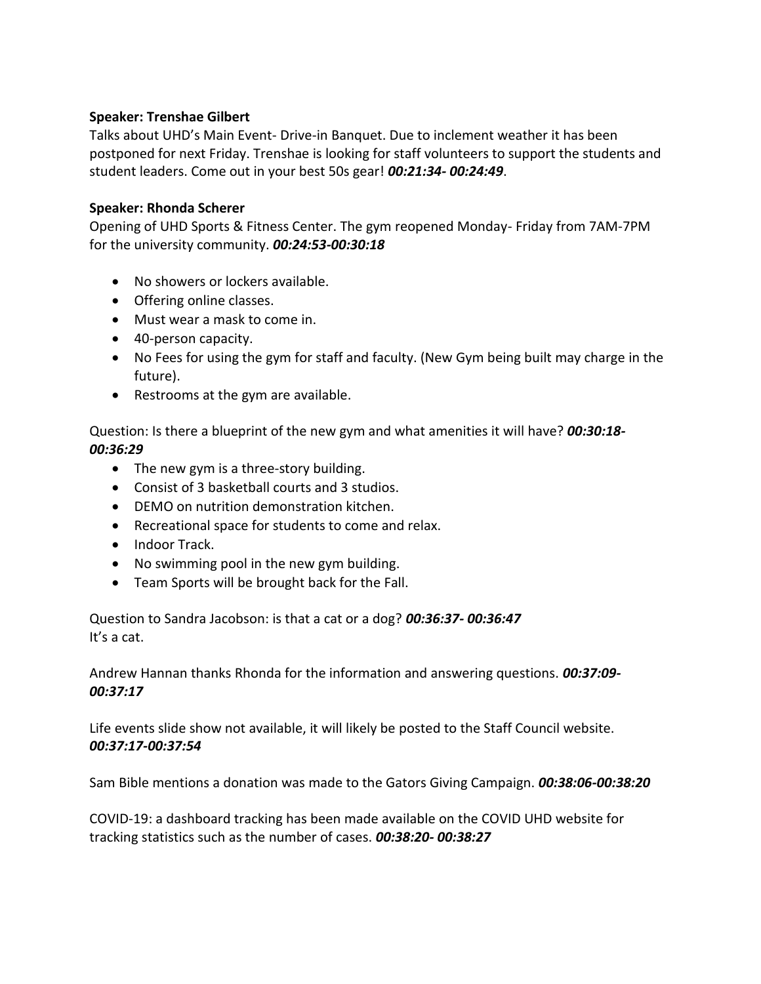## **Speaker: Trenshae Gilbert**

Talks about UHD's Main Event- Drive-in Banquet. Due to inclement weather it has been postponed for next Friday. Trenshae is looking for staff volunteers to support the students and student leaders. Come out in your best 50s gear! *00:21:34- 00:24:49*.

## **Speaker: Rhonda Scherer**

Opening of UHD Sports & Fitness Center. The gym reopened Monday- Friday from 7AM-7PM for the university community. *00:24:53-00:30:18*

- No showers or lockers available.
- Offering online classes.
- Must wear a mask to come in.
- 40-person capacity.
- No Fees for using the gym for staff and faculty. (New Gym being built may charge in the future).
- Restrooms at the gym are available.

Question: Is there a blueprint of the new gym and what amenities it will have? *00:30:18- 00:36:29*

- The new gym is a three-story building.
- Consist of 3 basketball courts and 3 studios.
- DEMO on nutrition demonstration kitchen.
- Recreational space for students to come and relax.
- Indoor Track.
- No swimming pool in the new gym building.
- Team Sports will be brought back for the Fall.

Question to Sandra Jacobson: is that a cat or a dog? *00:36:37- 00:36:47* It's a cat.

Andrew Hannan thanks Rhonda for the information and answering questions. *00:37:09- 00:37:17*

Life events slide show not available, it will likely be posted to the Staff Council website. *00:37:17-00:37:54*

Sam Bible mentions a donation was made to the Gators Giving Campaign. *00:38:06-00:38:20*

COVID-19: a dashboard tracking has been made available on the COVID UHD website for tracking statistics such as the number of cases. *00:38:20- 00:38:27*